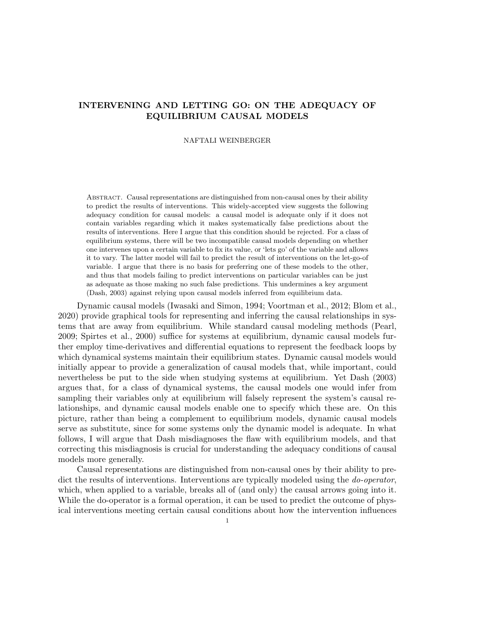# INTERVENING AND LETTING GO: ON THE ADEQUACY OF EQUILIBRIUM CAUSAL MODELS

## NAFTALI WEINBERGER

Abstract. Causal representations are distinguished from non-causal ones by their ability to predict the results of interventions. This widely-accepted view suggests the following adequacy condition for causal models: a causal model is adequate only if it does not contain variables regarding which it makes systematically false predictions about the results of interventions. Here I argue that this condition should be rejected. For a class of equilibrium systems, there will be two incompatible causal models depending on whether one intervenes upon a certain variable to fix its value, or 'lets go' of the variable and allows it to vary. The latter model will fail to predict the result of interventions on the let-go-of variable. I argue that there is no basis for preferring one of these models to the other, and thus that models failing to predict interventions on particular variables can be just as adequate as those making no such false predictions. This undermines a key argument (Dash, 2003) against relying upon causal models inferred from equilibrium data.

Dynamic causal models (Iwasaki and Simon, 1994; Voortman et al., 2012; Blom et al., 2020) provide graphical tools for representing and inferring the causal relationships in systems that are away from equilibrium. While standard causal modeling methods (Pearl, 2009; Spirtes et al., 2000) suffice for systems at equilibrium, dynamic causal models further employ time-derivatives and differential equations to represent the feedback loops by which dynamical systems maintain their equilibrium states. Dynamic causal models would initially appear to provide a generalization of causal models that, while important, could nevertheless be put to the side when studying systems at equilibrium. Yet Dash (2003) argues that, for a class of dynamical systems, the causal models one would infer from sampling their variables only at equilibrium will falsely represent the system's causal relationships, and dynamic causal models enable one to specify which these are. On this picture, rather than being a complement to equilibrium models, dynamic causal models serve as substitute, since for some systems only the dynamic model is adequate. In what follows, I will argue that Dash misdiagnoses the flaw with equilibrium models, and that correcting this misdiagnosis is crucial for understanding the adequacy conditions of causal models more generally.

Causal representations are distinguished from non-causal ones by their ability to predict the results of interventions. Interventions are typically modeled using the *do-operator*, which, when applied to a variable, breaks all of (and only) the causal arrows going into it. While the do-operator is a formal operation, it can be used to predict the outcome of physical interventions meeting certain causal conditions about how the intervention influences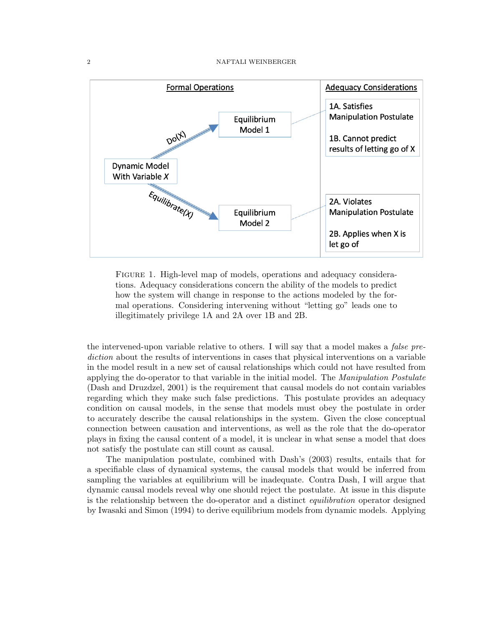

Figure 1. High-level map of models, operations and adequacy considerations. Adequacy considerations concern the ability of the models to predict how the system will change in response to the actions modeled by the formal operations. Considering intervening without "letting go" leads one to illegitimately privilege 1A and 2A over 1B and 2B.

the intervened-upon variable relative to others. I will say that a model makes a *false pre*diction about the results of interventions in cases that physical interventions on a variable in the model result in a new set of causal relationships which could not have resulted from applying the do-operator to that variable in the initial model. The *Manipulation Postulate* (Dash and Druzdzel, 2001) is the requirement that causal models do not contain variables regarding which they make such false predictions. This postulate provides an adequacy condition on causal models, in the sense that models must obey the postulate in order to accurately describe the causal relationships in the system. Given the close conceptual connection between causation and interventions, as well as the role that the do-operator plays in fixing the causal content of a model, it is unclear in what sense a model that does not satisfy the postulate can still count as causal.

The manipulation postulate, combined with Dash's (2003) results, entails that for a specifiable class of dynamical systems, the causal models that would be inferred from sampling the variables at equilibrium will be inadequate. Contra Dash, I will argue that dynamic causal models reveal why one should reject the postulate. At issue in this dispute is the relationship between the do-operator and a distinct equilibration operator designed by Iwasaki and Simon (1994) to derive equilibrium models from dynamic models. Applying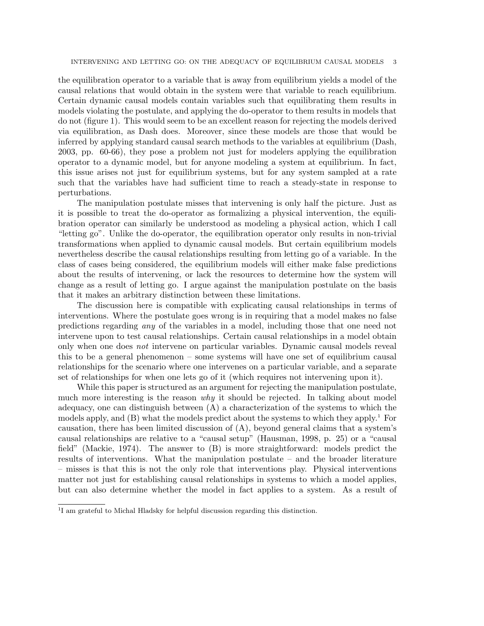the equilibration operator to a variable that is away from equilibrium yields a model of the causal relations that would obtain in the system were that variable to reach equilibrium. Certain dynamic causal models contain variables such that equilibrating them results in models violating the postulate, and applying the do-operator to them results in models that do not (figure 1). This would seem to be an excellent reason for rejecting the models derived via equilibration, as Dash does. Moreover, since these models are those that would be inferred by applying standard causal search methods to the variables at equilibrium (Dash, 2003, pp. 60-66), they pose a problem not just for modelers applying the equilibration operator to a dynamic model, but for anyone modeling a system at equilibrium. In fact, this issue arises not just for equilibrium systems, but for any system sampled at a rate such that the variables have had sufficient time to reach a steady-state in response to perturbations.

The manipulation postulate misses that intervening is only half the picture. Just as it is possible to treat the do-operator as formalizing a physical intervention, the equilibration operator can similarly be understood as modeling a physical action, which I call "letting go". Unlike the do-operator, the equilibration operator only results in non-trivial transformations when applied to dynamic causal models. But certain equilibrium models nevertheless describe the causal relationships resulting from letting go of a variable. In the class of cases being considered, the equilibrium models will either make false predictions about the results of intervening, or lack the resources to determine how the system will change as a result of letting go. I argue against the manipulation postulate on the basis that it makes an arbitrary distinction between these limitations.

The discussion here is compatible with explicating causal relationships in terms of interventions. Where the postulate goes wrong is in requiring that a model makes no false predictions regarding any of the variables in a model, including those that one need not intervene upon to test causal relationships. Certain causal relationships in a model obtain only when one does *not* intervene on particular variables. Dynamic causal models reveal this to be a general phenomenon – some systems will have one set of equilibrium causal relationships for the scenario where one intervenes on a particular variable, and a separate set of relationships for when one lets go of it (which requires not intervening upon it).

While this paper is structured as an argument for rejecting the manipulation postulate, much more interesting is the reason why it should be rejected. In talking about model adequacy, one can distinguish between (A) a characterization of the systems to which the models apply, and  $(B)$  what the models predict about the systems to which they apply.<sup>1</sup> For causation, there has been limited discussion of (A), beyond general claims that a system's causal relationships are relative to a "causal setup" (Hausman, 1998, p. 25) or a "causal field" (Mackie, 1974). The answer to (B) is more straightforward: models predict the results of interventions. What the manipulation postulate – and the broader literature – misses is that this is not the only role that interventions play. Physical interventions matter not just for establishing causal relationships in systems to which a model applies, but can also determine whether the model in fact applies to a system. As a result of

<sup>&</sup>lt;sup>1</sup>I am grateful to Michal Hladsky for helpful discussion regarding this distinction.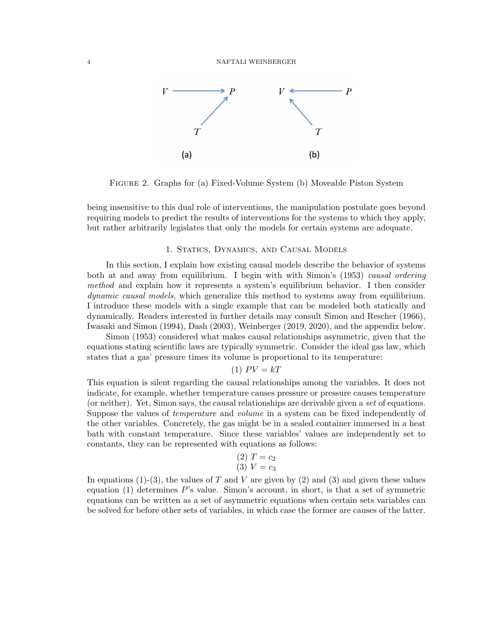

Figure 2. Graphs for (a) Fixed-Volume System (b) Moveable Piston System

being insensitive to this dual role of interventions, the manipulation postulate goes beyond requiring models to predict the results of interventions for the systems to which they apply, but rather arbitrarily legislates that only the models for certain systems are adequate.

## 1. Statics, Dynamics, and Causal Models

In this section, I explain how existing causal models describe the behavior of systems both at and away from equilibrium. I begin with with Simon's (1953) causal ordering method and explain how it represents a system's equilibrium behavior. I then consider dynamic causal models, which generalize this method to systems away from equilibrium. I introduce these models with a single example that can be modeled both statically and dynamically. Readers interested in further details may consult Simon and Rescher (1966), Iwasaki and Simon (1994), Dash (2003), Weinberger (2019, 2020), and the appendix below.

Simon (1953) considered what makes causal relationships asymmetric, given that the equations stating scientific laws are typically symmetric. Consider the ideal gas law, which states that a gas' pressure times its volume is proportional to its temperature:

# (1)  $PV = kT$

This equation is silent regarding the causal relationships among the variables. It does not indicate, for example, whether temperature causes pressure or pressure causes temperature (or neither). Yet, Simon says, the causal relationships are derivable given a set of equations. Suppose the values of *temperature* and *volume* in a system can be fixed independently of the other variables. Concretely, the gas might be in a sealed container immersed in a heat bath with constant temperature. Since these variables' values are independently set to constants, they can be represented with equations as follows:

(2) 
$$
T = c_2
$$
  
(3)  $V = c_3$ 

In equations (1)-(3), the values of T and V are given by (2) and (3) and given these values equation (1) determines P's value. Simon's account, in short, is that a set of symmetric equations can be written as a set of asymmetric equations when certain sets variables can be solved for before other sets of variables, in which case the former are causes of the latter.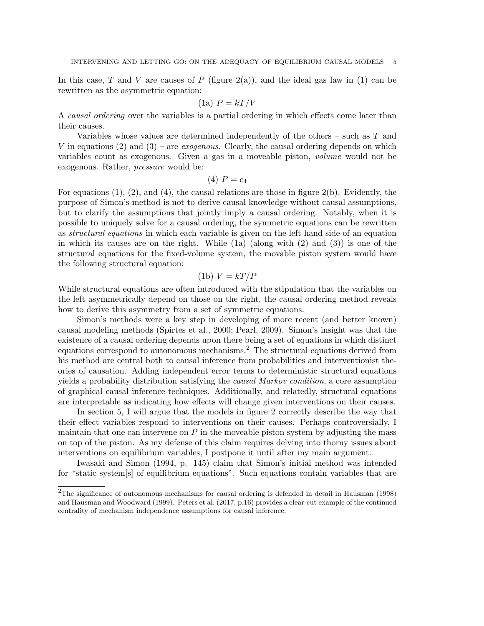In this case, T and V are causes of P (figure  $2(a)$ ), and the ideal gas law in (1) can be rewritten as the asymmetric equation:

$$
(1a) P = kT/V
$$

A causal ordering over the variables is a partial ordering in which effects come later than their causes.

Variables whose values are determined independently of the others – such as T and V in equations (2) and (3) – are *exogenous*. Clearly, the causal ordering depends on which variables count as exogenous. Given a gas in a moveable piston, volume would not be exogenous. Rather, pressure would be:

$$
(4) P = c_4
$$

For equations  $(1)$ ,  $(2)$ , and  $(4)$ , the causal relations are those in figure  $2(b)$ . Evidently, the purpose of Simon's method is not to derive causal knowledge without causal assumptions, but to clarify the assumptions that jointly imply a causal ordering. Notably, when it is possible to uniquely solve for a causal ordering, the symmetric equations can be rewritten as structural equations in which each variable is given on the left-hand side of an equation in which its causes are on the right. While  $(1a)$  (along with  $(2)$  and  $(3)$ ) is one of the structural equations for the fixed-volume system, the movable piston system would have the following structural equation:

$$
(1b) V = kT/P
$$

While structural equations are often introduced with the stipulation that the variables on the left asymmetrically depend on those on the right, the causal ordering method reveals how to derive this asymmetry from a set of symmetric equations.

Simon's methods were a key step in developing of more recent (and better known) causal modeling methods (Spirtes et al., 2000; Pearl, 2009). Simon's insight was that the existence of a causal ordering depends upon there being a set of equations in which distinct equations correspond to autonomous mechanisms.<sup>2</sup> The structural equations derived from his method are central both to causal inference from probabilities and interventionist theories of causation. Adding independent error terms to deterministic structural equations yields a probability distribution satisfying the causal Markov condition, a core assumption of graphical causal inference techniques. Additionally, and relatedly, structural equations are interpretable as indicating how effects will change given interventions on their causes.

In section 5, I will argue that the models in figure 2 correctly describe the way that their effect variables respond to interventions on their causes. Perhaps controversially, I maintain that one can intervene on  $P$  in the moveable piston system by adjusting the mass on top of the piston. As my defense of this claim requires delving into thorny issues about interventions on equilibrium variables, I postpone it until after my main argument.

Iwasaki and Simon (1994, p. 145) claim that Simon's initial method was intended for "static system[s] of equilibrium equations". Such equations contain variables that are

<sup>2</sup>The significance of autonomous mechanisms for causal ordering is defended in detail in Hausman (1998) and Hausman and Woodward (1999). Peters et al. (2017, p.16) provides a clear-cut example of the continued centrality of mechanism independence assumptions for causal inference.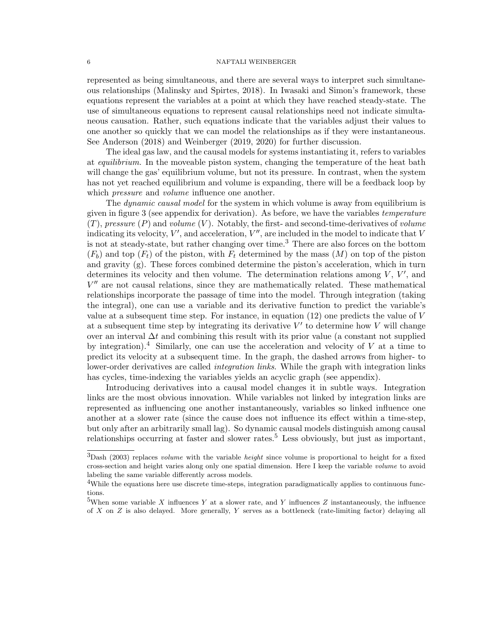represented as being simultaneous, and there are several ways to interpret such simultaneous relationships (Malinsky and Spirtes, 2018). In Iwasaki and Simon's framework, these equations represent the variables at a point at which they have reached steady-state. The use of simultaneous equations to represent causal relationships need not indicate simultaneous causation. Rather, such equations indicate that the variables adjust their values to one another so quickly that we can model the relationships as if they were instantaneous. See Anderson (2018) and Weinberger (2019, 2020) for further discussion.

The ideal gas law, and the causal models for systems instantiating it, refers to variables at *equilibrium*. In the moveable piston system, changing the temperature of the heat bath will change the gas' equilibrium volume, but not its pressure. In contrast, when the system has not yet reached equilibrium and volume is expanding, there will be a feedback loop by which *pressure* and *volume* influence one another.

The *dynamic causal model* for the system in which volume is away from equilibrium is given in figure 3 (see appendix for derivation). As before, we have the variables temperature  $(T)$ , pressure  $(P)$  and volume  $(V)$ . Notably, the first- and second-time-derivatives of volume indicating its velocity,  $V'$ , and acceleration,  $V''$ , are included in the model to indicate that  $V$ is not at steady-state, but rather changing over time.<sup>3</sup> There are also forces on the bottom  $(F_b)$  and top  $(F_t)$  of the piston, with  $F_t$  determined by the mass  $(M)$  on top of the piston and gravity (g). These forces combined determine the piston's acceleration, which in turn determines its velocity and then volume. The determination relations among  $V, V',$  and  $V''$  are not causal relations, since they are mathematically related. These mathematical relationships incorporate the passage of time into the model. Through integration (taking the integral), one can use a variable and its derivative function to predict the variable's value at a subsequent time step. For instance, in equation  $(12)$  one predicts the value of V at a subsequent time step by integrating its derivative  $V'$  to determine how V will change over an interval  $\Delta t$  and combining this result with its prior value (a constant not supplied by integration).<sup>4</sup> Similarly, one can use the acceleration and velocity of  $V$  at a time to predict its velocity at a subsequent time. In the graph, the dashed arrows from higher- to lower-order derivatives are called *integration links*. While the graph with integration links has cycles, time-indexing the variables yields an acyclic graph (see appendix).

Introducing derivatives into a causal model changes it in subtle ways. Integration links are the most obvious innovation. While variables not linked by integration links are represented as influencing one another instantaneously, variables so linked influence one another at a slower rate (since the cause does not influence its effect within a time-step, but only after an arbitrarily small lag). So dynamic causal models distinguish among causal relationships occurring at faster and slower rates.<sup>5</sup> Less obviously, but just as important,

 $3$ Dash (2003) replaces *volume* with the variable *height* since volume is proportional to height for a fixed cross-section and height varies along only one spatial dimension. Here I keep the variable volume to avoid labeling the same variable differently across models.

<sup>&</sup>lt;sup>4</sup>While the equations here use discrete time-steps, integration paradigmatically applies to continuous functions.

<sup>&</sup>lt;sup>5</sup>When some variable X influences Y at a slower rate, and Y influences Z instantaneously, the influence of X on Z is also delayed. More generally, Y serves as a bottleneck (rate-limiting factor) delaying all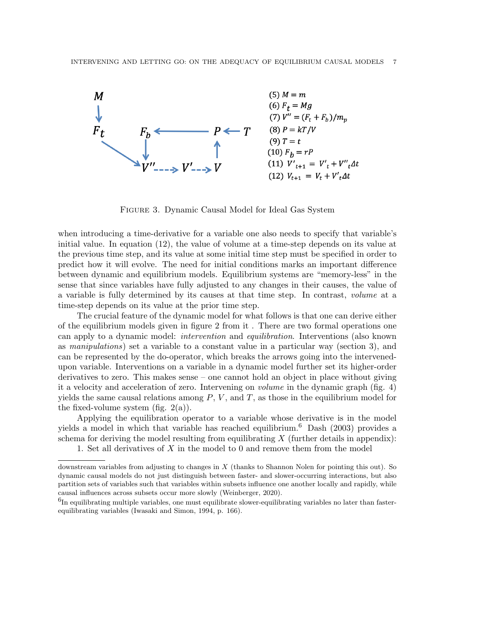

Figure 3. Dynamic Causal Model for Ideal Gas System

when introducing a time-derivative for a variable one also needs to specify that variable's initial value. In equation (12), the value of volume at a time-step depends on its value at the previous time step, and its value at some initial time step must be specified in order to predict how it will evolve. The need for initial conditions marks an important difference between dynamic and equilibrium models. Equilibrium systems are "memory-less" in the sense that since variables have fully adjusted to any changes in their causes, the value of a variable is fully determined by its causes at that time step. In contrast, volume at a time-step depends on its value at the prior time step.

The crucial feature of the dynamic model for what follows is that one can derive either of the equilibrium models given in figure 2 from it . There are two formal operations one can apply to a dynamic model: intervention and equilibration. Interventions (also known as manipulations) set a variable to a constant value in a particular way (section 3), and can be represented by the do-operator, which breaks the arrows going into the intervenedupon variable. Interventions on a variable in a dynamic model further set its higher-order derivatives to zero. This makes sense – one cannot hold an object in place without giving it a velocity and acceleration of zero. Intervening on volume in the dynamic graph (fig. 4) yields the same causal relations among  $P, V$ , and  $T$ , as those in the equilibrium model for the fixed-volume system (fig.  $2(a)$ ).

Applying the equilibration operator to a variable whose derivative is in the model yields a model in which that variable has reached equilibrium.<sup>6</sup> Dash (2003) provides a schema for deriving the model resulting from equilibrating  $X$  (further details in appendix):

1. Set all derivatives of X in the model to 0 and remove them from the model

downstream variables from adjusting to changes in X (thanks to Shannon Nolen for pointing this out). So dynamic causal models do not just distinguish between faster- and slower-occurring interactions, but also partition sets of variables such that variables within subsets influence one another locally and rapidly, while causal influences across subsets occur more slowly (Weinberger, 2020).

 ${}^{6}$ In equilibrating multiple variables, one must equilibrate slower-equilibrating variables no later than fasterequilibrating variables (Iwasaki and Simon, 1994, p. 166).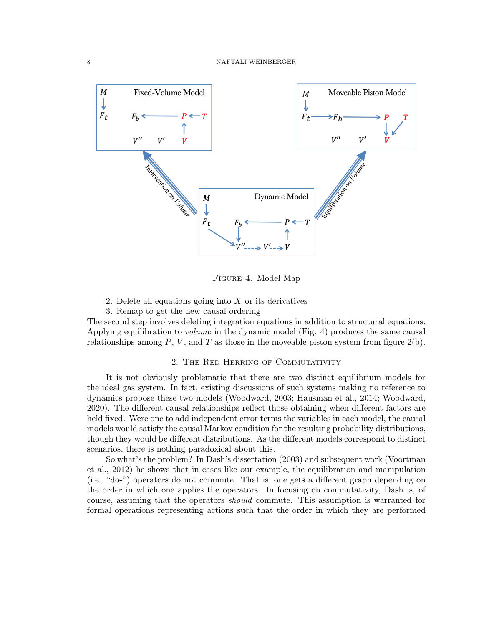

Figure 4. Model Map

- 2. Delete all equations going into  $X$  or its derivatives
- 3. Remap to get the new causal ordering

The second step involves deleting integration equations in addition to structural equations. Applying equilibration to volume in the dynamic model (Fig. 4) produces the same causal relationships among  $P, V$ , and  $T$  as those in the moveable piston system from figure  $2(b)$ .

# 2. The Red Herring of Commutativity

It is not obviously problematic that there are two distinct equilibrium models for the ideal gas system. In fact, existing discussions of such systems making no reference to dynamics propose these two models (Woodward, 2003; Hausman et al., 2014; Woodward, 2020). The different causal relationships reflect those obtaining when different factors are held fixed. Were one to add independent error terms the variables in each model, the causal models would satisfy the causal Markov condition for the resulting probability distributions, though they would be different distributions. As the different models correspond to distinct scenarios, there is nothing paradoxical about this.

So what's the problem? In Dash's dissertation (2003) and subsequent work (Voortman et al., 2012) he shows that in cases like our example, the equilibration and manipulation (i.e. "do-") operators do not commute. That is, one gets a different graph depending on the order in which one applies the operators. In focusing on commutativity, Dash is, of course, assuming that the operators should commute. This assumption is warranted for formal operations representing actions such that the order in which they are performed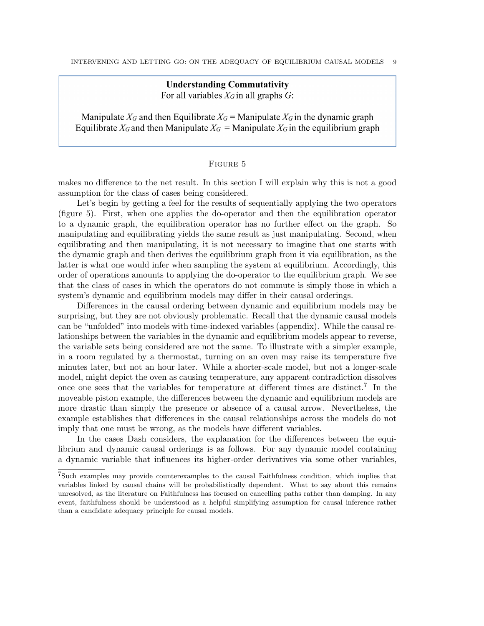# **Understanding Commutativity** For all variables  $X_G$  in all graphs  $G$ :

Manipulate  $X_G$  and then Equilibrate  $X_G$  = Manipulate  $X_G$  in the dynamic graph Equilibrate  $X_G$  and then Manipulate  $X_G$  = Manipulate  $X_G$  in the equilibrium graph

# Figure 5

makes no difference to the net result. In this section I will explain why this is not a good assumption for the class of cases being considered.

Let's begin by getting a feel for the results of sequentially applying the two operators (figure 5). First, when one applies the do-operator and then the equilibration operator to a dynamic graph, the equilibration operator has no further effect on the graph. So manipulating and equilibrating yields the same result as just manipulating. Second, when equilibrating and then manipulating, it is not necessary to imagine that one starts with the dynamic graph and then derives the equilibrium graph from it via equilibration, as the latter is what one would infer when sampling the system at equilibrium. Accordingly, this order of operations amounts to applying the do-operator to the equilibrium graph. We see that the class of cases in which the operators do not commute is simply those in which a system's dynamic and equilibrium models may differ in their causal orderings.

Differences in the causal ordering between dynamic and equilibrium models may be surprising, but they are not obviously problematic. Recall that the dynamic causal models can be "unfolded" into models with time-indexed variables (appendix). While the causal relationships between the variables in the dynamic and equilibrium models appear to reverse, the variable sets being considered are not the same. To illustrate with a simpler example, in a room regulated by a thermostat, turning on an oven may raise its temperature five minutes later, but not an hour later. While a shorter-scale model, but not a longer-scale model, might depict the oven as causing temperature, any apparent contradiction dissolves once one sees that the variables for temperature at different times are distinct.<sup>7</sup> In the moveable piston example, the differences between the dynamic and equilibrium models are more drastic than simply the presence or absence of a causal arrow. Nevertheless, the example establishes that differences in the causal relationships across the models do not imply that one must be wrong, as the models have different variables.

In the cases Dash considers, the explanation for the differences between the equilibrium and dynamic causal orderings is as follows. For any dynamic model containing a dynamic variable that influences its higher-order derivatives via some other variables,

<sup>7</sup>Such examples may provide counterexamples to the causal Faithfulness condition, which implies that variables linked by causal chains will be probabilistically dependent. What to say about this remains unresolved, as the literature on Faithfulness has focused on cancelling paths rather than damping. In any event, faithfulness should be understood as a helpful simplifying assumption for causal inference rather than a candidate adequacy principle for causal models.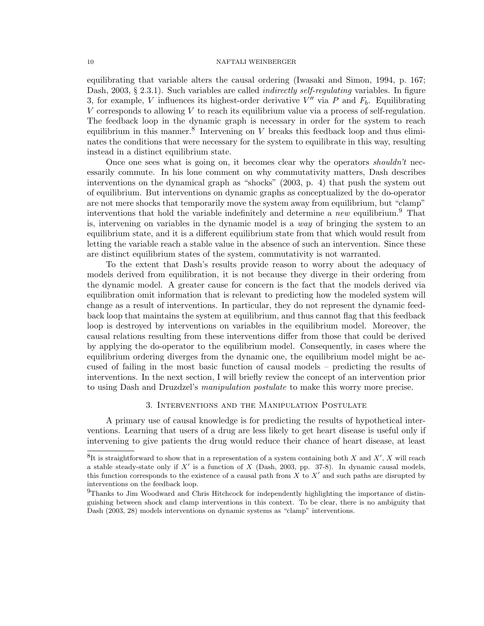equilibrating that variable alters the causal ordering (Iwasaki and Simon, 1994, p. 167; Dash, 2003, § 2.3.1). Such variables are called *indirectly self-regulating* variables. In figure 3, for example, V influences its highest-order derivative  $V''$  via P and  $F_b$ . Equilibrating  $V$  corresponds to allowing  $V$  to reach its equilibrium value via a process of self-regulation. The feedback loop in the dynamic graph is necessary in order for the system to reach equilibrium in this manner.<sup>8</sup> Intervening on  $V$  breaks this feedback loop and thus eliminates the conditions that were necessary for the system to equilibrate in this way, resulting instead in a distinct equilibrium state.

Once one sees what is going on, it becomes clear why the operators shouldn't necessarily commute. In his lone comment on why commutativity matters, Dash describes interventions on the dynamical graph as "shocks" (2003, p. 4) that push the system out of equilibrium. But interventions on dynamic graphs as conceptualized by the do-operator are not mere shocks that temporarily move the system away from equilibrium, but "clamp" interventions that hold the variable indefinitely and determine a new equilibrium.<sup>9</sup> That is, intervening on variables in the dynamic model is a way of bringing the system to an equilibrium state, and it is a different equilibrium state from that which would result from letting the variable reach a stable value in the absence of such an intervention. Since these are distinct equilibrium states of the system, commutativity is not warranted.

To the extent that Dash's results provide reason to worry about the adequacy of models derived from equilibration, it is not because they diverge in their ordering from the dynamic model. A greater cause for concern is the fact that the models derived via equilibration omit information that is relevant to predicting how the modeled system will change as a result of interventions. In particular, they do not represent the dynamic feedback loop that maintains the system at equilibrium, and thus cannot flag that this feedback loop is destroyed by interventions on variables in the equilibrium model. Moreover, the causal relations resulting from these interventions differ from those that could be derived by applying the do-operator to the equilibrium model. Consequently, in cases where the equilibrium ordering diverges from the dynamic one, the equilibrium model might be accused of failing in the most basic function of causal models – predicting the results of interventions. In the next section, I will briefly review the concept of an intervention prior to using Dash and Druzdzel's manipulation postulate to make this worry more precise.

# 3. Interventions and the Manipulation Postulate

A primary use of causal knowledge is for predicting the results of hypothetical interventions. Learning that users of a drug are less likely to get heart disease is useful only if intervening to give patients the drug would reduce their chance of heart disease, at least

 ${}^{8}$ It is straightforward to show that in a representation of a system containing both X and X', X will reach a stable steady-state only if  $X'$  is a function of  $X$  (Dash, 2003, pp. 37-8). In dynamic causal models, this function corresponds to the existence of a causal path from  $X$  to  $X'$  and such paths are disrupted by interventions on the feedback loop.

<sup>&</sup>lt;sup>9</sup>Thanks to Jim Woodward and Chris Hitchcock for independently highlighting the importance of distinguishing between shock and clamp interventions in this context. To be clear, there is no ambiguity that Dash (2003, 28) models interventions on dynamic systems as "clamp" interventions.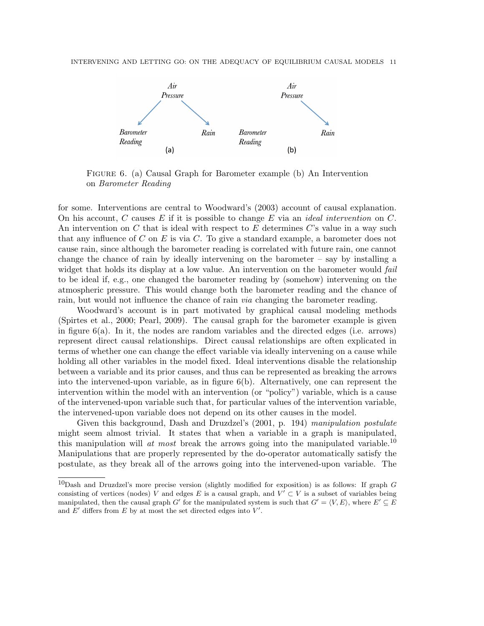

Figure 6. (a) Causal Graph for Barometer example (b) An Intervention on Barometer Reading

for some. Interventions are central to Woodward's (2003) account of causal explanation. On his account, C causes E if it is possible to change E via an *ideal intervention* on C. An intervention on C that is ideal with respect to E determines C's value in a way such that any influence of C on E is via C. To give a standard example, a barometer does not cause rain, since although the barometer reading is correlated with future rain, one cannot change the chance of rain by ideally intervening on the barometer – say by installing a widget that holds its display at a low value. An intervention on the barometer would fail to be ideal if, e.g., one changed the barometer reading by (somehow) intervening on the atmospheric pressure. This would change both the barometer reading and the chance of rain, but would not influence the chance of rain *via* changing the barometer reading.

Woodward's account is in part motivated by graphical causal modeling methods (Spirtes et al., 2000; Pearl, 2009). The causal graph for the barometer example is given in figure 6(a). In it, the nodes are random variables and the directed edges (i.e. arrows) represent direct causal relationships. Direct causal relationships are often explicated in terms of whether one can change the effect variable via ideally intervening on a cause while holding all other variables in the model fixed. Ideal interventions disable the relationship between a variable and its prior causes, and thus can be represented as breaking the arrows into the intervened-upon variable, as in figure  $6(b)$ . Alternatively, one can represent the intervention within the model with an intervention (or "policy") variable, which is a cause of the intervened-upon variable such that, for particular values of the intervention variable, the intervened-upon variable does not depend on its other causes in the model.

Given this background, Dash and Druzdzel's (2001, p. 194) manipulation postulate might seem almost trivial. It states that when a variable in a graph is manipulated, this manipulation will at most break the arrows going into the manipulated variable.<sup>10</sup> Manipulations that are properly represented by the do-operator automatically satisfy the postulate, as they break all of the arrows going into the intervened-upon variable. The

 $10$ Dash and Druzdzel's more precise version (slightly modified for exposition) is as follows: If graph G consisting of vertices (nodes) V and edges E is a causal graph, and  $V' \subset V$  is a subset of variables being manipulated, then the causal graph G' for the manipulated system is such that  $G' = \langle V, E \rangle$ , where  $E' \subseteq E$ and  $E'$  differs from  $E$  by at most the set directed edges into  $V'$ .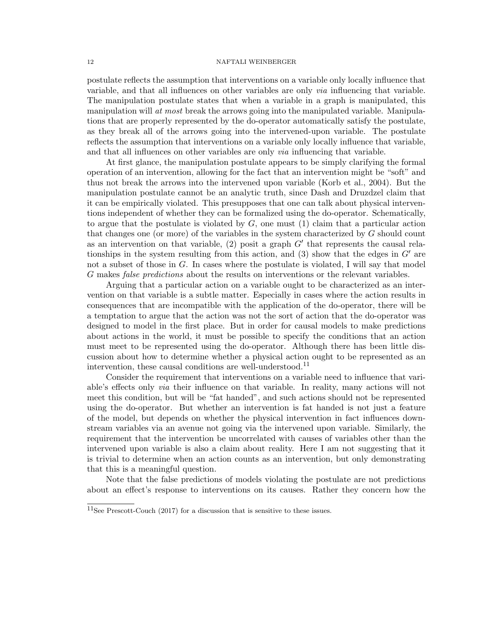postulate reflects the assumption that interventions on a variable only locally influence that variable, and that all influences on other variables are only via influencing that variable. The manipulation postulate states that when a variable in a graph is manipulated, this manipulation will at most break the arrows going into the manipulated variable. Manipulations that are properly represented by the do-operator automatically satisfy the postulate, as they break all of the arrows going into the intervened-upon variable. The postulate reflects the assumption that interventions on a variable only locally influence that variable, and that all influences on other variables are only via influencing that variable.

At first glance, the manipulation postulate appears to be simply clarifying the formal operation of an intervention, allowing for the fact that an intervention might be "soft" and thus not break the arrows into the intervened upon variable (Korb et al., 2004). But the manipulation postulate cannot be an analytic truth, since Dash and Druzdzel claim that it can be empirically violated. This presupposes that one can talk about physical interventions independent of whether they can be formalized using the do-operator. Schematically, to argue that the postulate is violated by  $G$ , one must  $(1)$  claim that a particular action that changes one (or more) of the variables in the system characterized by G should count as an intervention on that variable, (2) posit a graph  $G'$  that represents the causal relationships in the system resulting from this action, and  $(3)$  show that the edges in  $G'$  are not a subset of those in  $G$ . In cases where the postulate is violated, I will say that model G makes *false predictions* about the results on interventions or the relevant variables.

Arguing that a particular action on a variable ought to be characterized as an intervention on that variable is a subtle matter. Especially in cases where the action results in consequences that are incompatible with the application of the do-operator, there will be a temptation to argue that the action was not the sort of action that the do-operator was designed to model in the first place. But in order for causal models to make predictions about actions in the world, it must be possible to specify the conditions that an action must meet to be represented using the do-operator. Although there has been little discussion about how to determine whether a physical action ought to be represented as an intervention, these causal conditions are well-understood.<sup>11</sup>

Consider the requirement that interventions on a variable need to influence that variable's effects only via their influence on that variable. In reality, many actions will not meet this condition, but will be "fat handed", and such actions should not be represented using the do-operator. But whether an intervention is fat handed is not just a feature of the model, but depends on whether the physical intervention in fact influences downstream variables via an avenue not going via the intervened upon variable. Similarly, the requirement that the intervention be uncorrelated with causes of variables other than the intervened upon variable is also a claim about reality. Here I am not suggesting that it is trivial to determine when an action counts as an intervention, but only demonstrating that this is a meaningful question.

Note that the false predictions of models violating the postulate are not predictions about an effect's response to interventions on its causes. Rather they concern how the

 $11$ See Prescott-Couch (2017) for a discussion that is sensitive to these issues.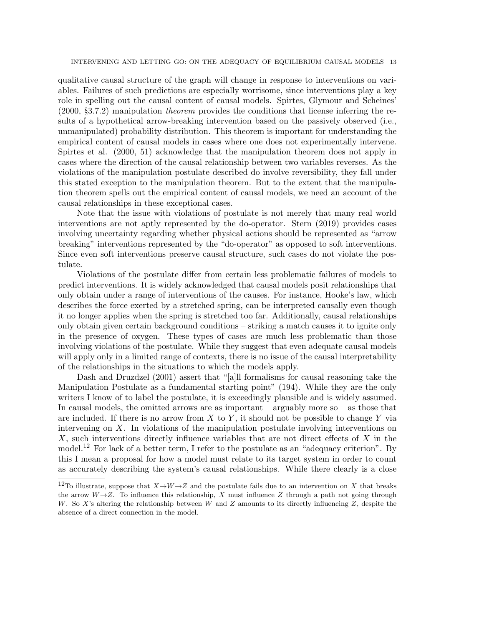INTERVENING AND LETTING GO: ON THE ADEQUACY OF EQUILIBRIUM CAUSAL MODELS 13

qualitative causal structure of the graph will change in response to interventions on variables. Failures of such predictions are especially worrisome, since interventions play a key role in spelling out the causal content of causal models. Spirtes, Glymour and Scheines' (2000, §3.7.2) manipulation theorem provides the conditions that license inferring the results of a hypothetical arrow-breaking intervention based on the passively observed (i.e., unmanipulated) probability distribution. This theorem is important for understanding the empirical content of causal models in cases where one does not experimentally intervene. Spirtes et al. (2000, 51) acknowledge that the manipulation theorem does not apply in cases where the direction of the causal relationship between two variables reverses. As the violations of the manipulation postulate described do involve reversibility, they fall under this stated exception to the manipulation theorem. But to the extent that the manipulation theorem spells out the empirical content of causal models, we need an account of the causal relationships in these exceptional cases.

Note that the issue with violations of postulate is not merely that many real world interventions are not aptly represented by the do-operator. Stern (2019) provides cases involving uncertainty regarding whether physical actions should be represented as "arrow breaking" interventions represented by the "do-operator" as opposed to soft interventions. Since even soft interventions preserve causal structure, such cases do not violate the postulate.

Violations of the postulate differ from certain less problematic failures of models to predict interventions. It is widely acknowledged that causal models posit relationships that only obtain under a range of interventions of the causes. For instance, Hooke's law, which describes the force exerted by a stretched spring, can be interpreted causally even though it no longer applies when the spring is stretched too far. Additionally, causal relationships only obtain given certain background conditions – striking a match causes it to ignite only in the presence of oxygen. These types of cases are much less problematic than those involving violations of the postulate. While they suggest that even adequate causal models will apply only in a limited range of contexts, there is no issue of the causal interpretability of the relationships in the situations to which the models apply.

Dash and Druzdzel (2001) assert that "[a]ll formalisms for causal reasoning take the Manipulation Postulate as a fundamental starting point" (194). While they are the only writers I know of to label the postulate, it is exceedingly plausible and is widely assumed. In causal models, the omitted arrows are as important – arguably more so – as those that are included. If there is no arrow from  $X$  to  $Y$ , it should not be possible to change  $Y$  via intervening on  $X$ . In violations of the manipulation postulate involving interventions on  $X$ , such interventions directly influence variables that are not direct effects of  $X$  in the model.<sup>12</sup> For lack of a better term, I refer to the postulate as an "adequacy criterion". By this I mean a proposal for how a model must relate to its target system in order to count as accurately describing the system's causal relationships. While there clearly is a close

<sup>&</sup>lt;sup>12</sup>To illustrate, suppose that  $X \rightarrow W \rightarrow Z$  and the postulate fails due to an intervention on X that breaks the arrow  $W\rightarrow Z$ . To influence this relationship, X must influence Z through a path not going through W. So X's altering the relationship between W and Z amounts to its directly influencing Z, despite the absence of a direct connection in the model.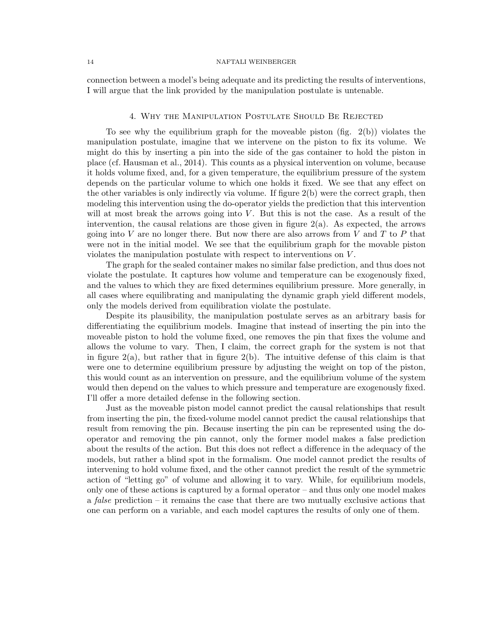connection between a model's being adequate and its predicting the results of interventions, I will argue that the link provided by the manipulation postulate is untenable.

## 4. Why the Manipulation Postulate Should Be Rejected

To see why the equilibrium graph for the moveable piston (fig.  $2(b)$ ) violates the manipulation postulate, imagine that we intervene on the piston to fix its volume. We might do this by inserting a pin into the side of the gas container to hold the piston in place (cf. Hausman et al., 2014). This counts as a physical intervention on volume, because it holds volume fixed, and, for a given temperature, the equilibrium pressure of the system depends on the particular volume to which one holds it fixed. We see that any effect on the other variables is only indirectly via volume. If figure 2(b) were the correct graph, then modeling this intervention using the do-operator yields the prediction that this intervention will at most break the arrows going into  $V$ . But this is not the case. As a result of the intervention, the causal relations are those given in figure  $2(a)$ . As expected, the arrows going into V are no longer there. But now there are also arrows from V and T to P that were not in the initial model. We see that the equilibrium graph for the movable piston violates the manipulation postulate with respect to interventions on V .

The graph for the sealed container makes no similar false prediction, and thus does not violate the postulate. It captures how volume and temperature can be exogenously fixed, and the values to which they are fixed determines equilibrium pressure. More generally, in all cases where equilibrating and manipulating the dynamic graph yield different models, only the models derived from equilibration violate the postulate.

Despite its plausibility, the manipulation postulate serves as an arbitrary basis for differentiating the equilibrium models. Imagine that instead of inserting the pin into the moveable piston to hold the volume fixed, one removes the pin that fixes the volume and allows the volume to vary. Then, I claim, the correct graph for the system is not that in figure  $2(a)$ , but rather that in figure  $2(b)$ . The intuitive defense of this claim is that were one to determine equilibrium pressure by adjusting the weight on top of the piston, this would count as an intervention on pressure, and the equilibrium volume of the system would then depend on the values to which pressure and temperature are exogenously fixed. I'll offer a more detailed defense in the following section.

Just as the moveable piston model cannot predict the causal relationships that result from inserting the pin, the fixed-volume model cannot predict the causal relationships that result from removing the pin. Because inserting the pin can be represented using the dooperator and removing the pin cannot, only the former model makes a false prediction about the results of the action. But this does not reflect a difference in the adequacy of the models, but rather a blind spot in the formalism. One model cannot predict the results of intervening to hold volume fixed, and the other cannot predict the result of the symmetric action of "letting go" of volume and allowing it to vary. While, for equilibrium models, only one of these actions is captured by a formal operator – and thus only one model makes a *false* prediction – it remains the case that there are two mutually exclusive actions that one can perform on a variable, and each model captures the results of only one of them.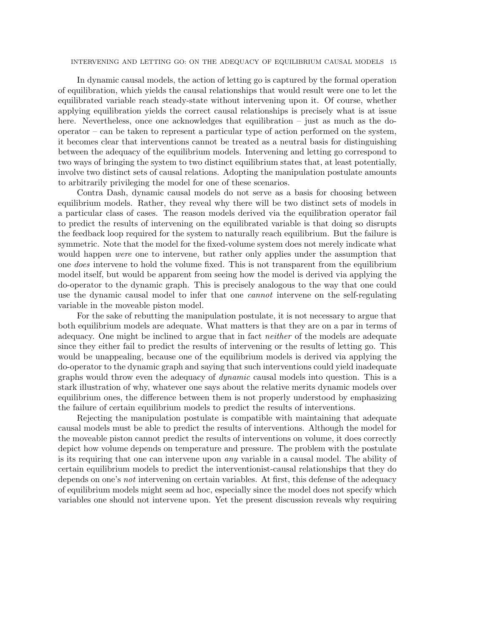INTERVENING AND LETTING GO: ON THE ADEQUACY OF EQUILIBRIUM CAUSAL MODELS 15

In dynamic causal models, the action of letting go is captured by the formal operation of equilibration, which yields the causal relationships that would result were one to let the equilibrated variable reach steady-state without intervening upon it. Of course, whether applying equilibration yields the correct causal relationships is precisely what is at issue here. Nevertheless, once one acknowledges that equilibration – just as much as the dooperator – can be taken to represent a particular type of action performed on the system, it becomes clear that interventions cannot be treated as a neutral basis for distinguishing between the adequacy of the equilibrium models. Intervening and letting go correspond to two ways of bringing the system to two distinct equilibrium states that, at least potentially, involve two distinct sets of causal relations. Adopting the manipulation postulate amounts to arbitrarily privileging the model for one of these scenarios.

Contra Dash, dynamic causal models do not serve as a basis for choosing between equilibrium models. Rather, they reveal why there will be two distinct sets of models in a particular class of cases. The reason models derived via the equilibration operator fail to predict the results of intervening on the equilibrated variable is that doing so disrupts the feedback loop required for the system to naturally reach equilibrium. But the failure is symmetric. Note that the model for the fixed-volume system does not merely indicate what would happen *were* one to intervene, but rather only applies under the assumption that one does intervene to hold the volume fixed. This is not transparent from the equilibrium model itself, but would be apparent from seeing how the model is derived via applying the do-operator to the dynamic graph. This is precisely analogous to the way that one could use the dynamic causal model to infer that one *cannot* intervene on the self-regulating variable in the moveable piston model.

For the sake of rebutting the manipulation postulate, it is not necessary to argue that both equilibrium models are adequate. What matters is that they are on a par in terms of adequacy. One might be inclined to argue that in fact *neither* of the models are adequate since they either fail to predict the results of intervening or the results of letting go. This would be unappealing, because one of the equilibrium models is derived via applying the do-operator to the dynamic graph and saying that such interventions could yield inadequate graphs would throw even the adequacy of *dynamic* causal models into question. This is a stark illustration of why, whatever one says about the relative merits dynamic models over equilibrium ones, the difference between them is not properly understood by emphasizing the failure of certain equilibrium models to predict the results of interventions.

Rejecting the manipulation postulate is compatible with maintaining that adequate causal models must be able to predict the results of interventions. Although the model for the moveable piston cannot predict the results of interventions on volume, it does correctly depict how volume depends on temperature and pressure. The problem with the postulate is its requiring that one can intervene upon any variable in a causal model. The ability of certain equilibrium models to predict the interventionist-causal relationships that they do depends on one's *not* intervening on certain variables. At first, this defense of the adequacy of equilibrium models might seem ad hoc, especially since the model does not specify which variables one should not intervene upon. Yet the present discussion reveals why requiring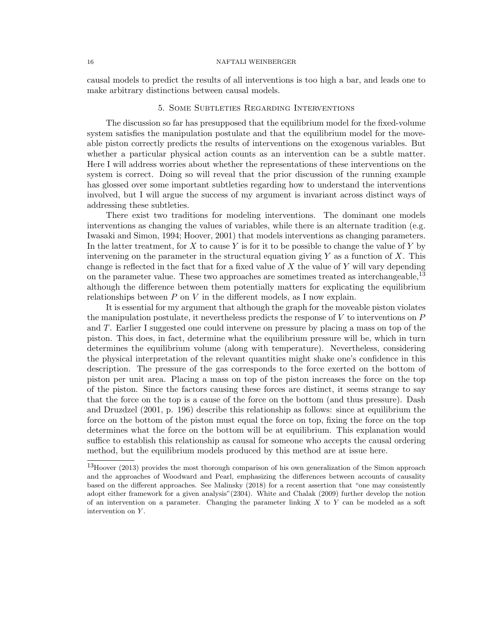causal models to predict the results of all interventions is too high a bar, and leads one to make arbitrary distinctions between causal models.

## 5. Some Subtleties Regarding Interventions

The discussion so far has presupposed that the equilibrium model for the fixed-volume system satisfies the manipulation postulate and that the equilibrium model for the moveable piston correctly predicts the results of interventions on the exogenous variables. But whether a particular physical action counts as an intervention can be a subtle matter. Here I will address worries about whether the representations of these interventions on the system is correct. Doing so will reveal that the prior discussion of the running example has glossed over some important subtleties regarding how to understand the interventions involved, but I will argue the success of my argument is invariant across distinct ways of addressing these subtleties.

There exist two traditions for modeling interventions. The dominant one models interventions as changing the values of variables, while there is an alternate tradition (e.g. Iwasaki and Simon, 1994; Hoover, 2001) that models interventions as changing parameters. In the latter treatment, for X to cause Y is for it to be possible to change the value of Y by intervening on the parameter in the structural equation giving  $Y$  as a function of  $X$ . This change is reflected in the fact that for a fixed value of  $X$  the value of  $Y$  will vary depending on the parameter value. These two approaches are sometimes treated as interchangeable,<sup>13</sup> although the difference between them potentially matters for explicating the equilibrium relationships between  $P$  on  $V$  in the different models, as I now explain.

It is essential for my argument that although the graph for the moveable piston violates the manipulation postulate, it nevertheless predicts the response of  $V$  to interventions on  $P$ and T. Earlier I suggested one could intervene on pressure by placing a mass on top of the piston. This does, in fact, determine what the equilibrium pressure will be, which in turn determines the equilibrium volume (along with temperature). Nevertheless, considering the physical interpretation of the relevant quantities might shake one's confidence in this description. The pressure of the gas corresponds to the force exerted on the bottom of piston per unit area. Placing a mass on top of the piston increases the force on the top of the piston. Since the factors causing these forces are distinct, it seems strange to say that the force on the top is a cause of the force on the bottom (and thus pressure). Dash and Druzdzel (2001, p. 196) describe this relationship as follows: since at equilibrium the force on the bottom of the piston must equal the force on top, fixing the force on the top determines what the force on the bottom will be at equilibrium. This explanation would suffice to establish this relationship as causal for someone who accepts the causal ordering method, but the equilibrium models produced by this method are at issue here.

<sup>13</sup>Hoover (2013) provides the most thorough comparison of his own generalization of the Simon approach and the approaches of Woodward and Pearl, emphasizing the differences between accounts of causality based on the different approaches. See Malinsky (2018) for a recent assertion that "one may consistently adopt either framework for a given analysis"(2304). White and Chalak (2009) further develop the notion of an intervention on a parameter. Changing the parameter linking  $X$  to  $Y$  can be modeled as a soft intervention on Y .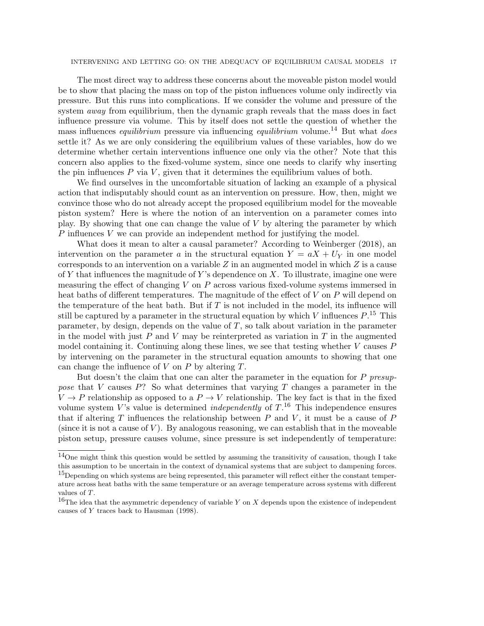INTERVENING AND LETTING GO: ON THE ADEQUACY OF EQUILIBRIUM CAUSAL MODELS 17

The most direct way to address these concerns about the moveable piston model would be to show that placing the mass on top of the piston influences volume only indirectly via pressure. But this runs into complications. If we consider the volume and pressure of the system away from equilibrium, then the dynamic graph reveals that the mass does in fact influence pressure via volume. This by itself does not settle the question of whether the mass influences *equilibrium* pressure via influencing *equilibrium* volume.<sup>14</sup> But what *does* settle it? As we are only considering the equilibrium values of these variables, how do we determine whether certain interventions influence one only via the other? Note that this concern also applies to the fixed-volume system, since one needs to clarify why inserting the pin influences  $P$  via  $V$ , given that it determines the equilibrium values of both.

We find ourselves in the uncomfortable situation of lacking an example of a physical action that indisputably should count as an intervention on pressure. How, then, might we convince those who do not already accept the proposed equilibrium model for the moveable piston system? Here is where the notion of an intervention on a parameter comes into play. By showing that one can change the value of V by altering the parameter by which  $P$  influences  $V$  we can provide an independent method for justifying the model.

What does it mean to alter a causal parameter? According to Weinberger (2018), an intervention on the parameter a in the structural equation  $Y = aX + U<sub>Y</sub>$  in one model corresponds to an intervention on a variable  $Z$  in an augmented model in which  $Z$  is a cause of Y that influences the magnitude of Y's dependence on X. To illustrate, imagine one were measuring the effect of changing  $V$  on  $P$  across various fixed-volume systems immersed in heat baths of different temperatures. The magnitude of the effect of  $V$  on  $P$  will depend on the temperature of the heat bath. But if  $T$  is not included in the model, its influence will still be captured by a parameter in the structural equation by which V influences  $P^{15}$ . This parameter, by design, depends on the value of  $T$ , so talk about variation in the parameter in the model with just  $P$  and  $V$  may be reinterpreted as variation in  $T$  in the augmented model containing it. Continuing along these lines, we see that testing whether V causes P by intervening on the parameter in the structural equation amounts to showing that one can change the influence of V on P by altering  $T$ .

But doesn't the claim that one can alter the parameter in the equation for P presuppose that V causes P? So what determines that varying T changes a parameter in the  $V \to P$  relationship as opposed to a  $P \to V$  relationship. The key fact is that in the fixed volume system V's value is determined *independently* of  $T<sup>16</sup>$ . This independence ensures that if altering T influences the relationship between  $P$  and  $V$ , it must be a cause of  $P$ (since it is not a cause of  $V$ ). By analogous reasoning, we can establish that in the moveable piston setup, pressure causes volume, since pressure is set independently of temperature:

 $14$ One might think this question would be settled by assuming the transitivity of causation, though I take this assumption to be uncertain in the context of dynamical systems that are subject to dampening forces.

<sup>&</sup>lt;sup>15</sup>Depending on which systems are being represented, this parameter will reflect either the constant temperature across heat baths with the same temperature or an average temperature across systems with different values of T.

<sup>&</sup>lt;sup>16</sup>The idea that the asymmetric dependency of variable Y on X depends upon the existence of independent causes of Y traces back to Hausman (1998).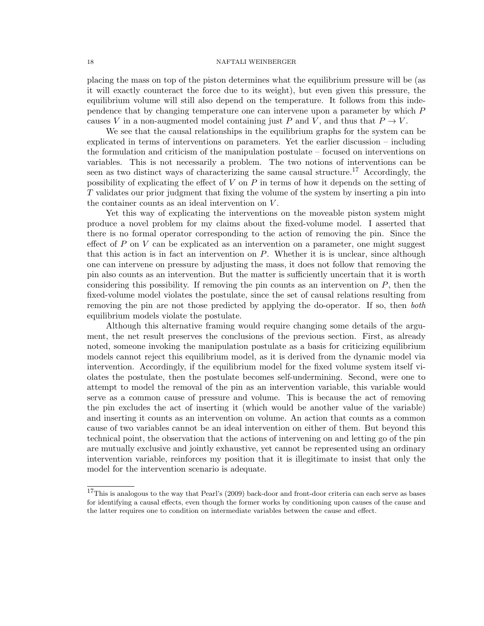placing the mass on top of the piston determines what the equilibrium pressure will be (as it will exactly counteract the force due to its weight), but even given this pressure, the equilibrium volume will still also depend on the temperature. It follows from this independence that by changing temperature one can intervene upon a parameter by which P causes V in a non-augmented model containing just P and V, and thus that  $P \to V$ .

We see that the causal relationships in the equilibrium graphs for the system can be explicated in terms of interventions on parameters. Yet the earlier discussion – including the formulation and criticism of the manipulation postulate – focused on interventions on variables. This is not necessarily a problem. The two notions of interventions can be seen as two distinct ways of characterizing the same causal structure.<sup>17</sup> Accordingly, the possibility of explicating the effect of  $V$  on  $P$  in terms of how it depends on the setting of T validates our prior judgment that fixing the volume of the system by inserting a pin into the container counts as an ideal intervention on V .

Yet this way of explicating the interventions on the moveable piston system might produce a novel problem for my claims about the fixed-volume model. I asserted that there is no formal operator corresponding to the action of removing the pin. Since the effect of  $P$  on  $V$  can be explicated as an intervention on a parameter, one might suggest that this action is in fact an intervention on P. Whether it is is unclear, since although one can intervene on pressure by adjusting the mass, it does not follow that removing the pin also counts as an intervention. But the matter is sufficiently uncertain that it is worth considering this possibility. If removing the pin counts as an intervention on  $P$ , then the fixed-volume model violates the postulate, since the set of causal relations resulting from removing the pin are not those predicted by applying the do-operator. If so, then *both* equilibrium models violate the postulate.

Although this alternative framing would require changing some details of the argument, the net result preserves the conclusions of the previous section. First, as already noted, someone invoking the manipulation postulate as a basis for criticizing equilibrium models cannot reject this equilibrium model, as it is derived from the dynamic model via intervention. Accordingly, if the equilibrium model for the fixed volume system itself violates the postulate, then the postulate becomes self-undermining. Second, were one to attempt to model the removal of the pin as an intervention variable, this variable would serve as a common cause of pressure and volume. This is because the act of removing the pin excludes the act of inserting it (which would be another value of the variable) and inserting it counts as an intervention on volume. An action that counts as a common cause of two variables cannot be an ideal intervention on either of them. But beyond this technical point, the observation that the actions of intervening on and letting go of the pin are mutually exclusive and jointly exhaustive, yet cannot be represented using an ordinary intervention variable, reinforces my position that it is illegitimate to insist that only the model for the intervention scenario is adequate.

 $17$ This is analogous to the way that Pearl's (2009) back-door and front-door criteria can each serve as bases for identifying a causal effects, even though the former works by conditioning upon causes of the cause and the latter requires one to condition on intermediate variables between the cause and effect.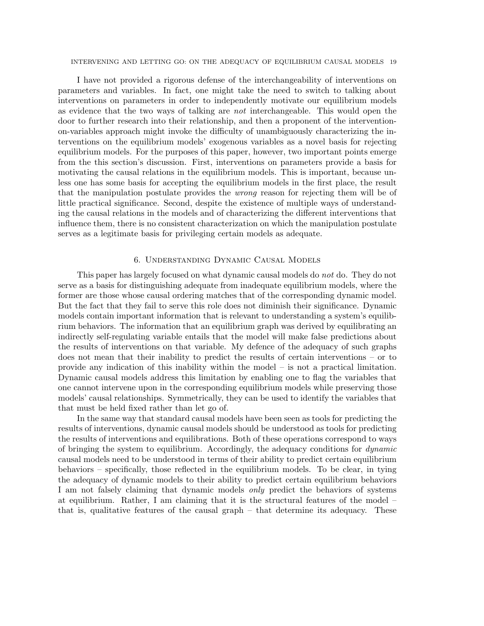## INTERVENING AND LETTING GO: ON THE ADEQUACY OF EQUILIBRIUM CAUSAL MODELS 19

I have not provided a rigorous defense of the interchangeability of interventions on parameters and variables. In fact, one might take the need to switch to talking about interventions on parameters in order to independently motivate our equilibrium models as evidence that the two ways of talking are not interchangeable. This would open the door to further research into their relationship, and then a proponent of the interventionon-variables approach might invoke the difficulty of unambiguously characterizing the interventions on the equilibrium models' exogenous variables as a novel basis for rejecting equilibrium models. For the purposes of this paper, however, two important points emerge from the this section's discussion. First, interventions on parameters provide a basis for motivating the causal relations in the equilibrium models. This is important, because unless one has some basis for accepting the equilibrium models in the first place, the result that the manipulation postulate provides the wrong reason for rejecting them will be of little practical significance. Second, despite the existence of multiple ways of understanding the causal relations in the models and of characterizing the different interventions that influence them, there is no consistent characterization on which the manipulation postulate serves as a legitimate basis for privileging certain models as adequate.

# 6. Understanding Dynamic Causal Models

This paper has largely focused on what dynamic causal models do not do. They do not serve as a basis for distinguishing adequate from inadequate equilibrium models, where the former are those whose causal ordering matches that of the corresponding dynamic model. But the fact that they fail to serve this role does not diminish their significance. Dynamic models contain important information that is relevant to understanding a system's equilibrium behaviors. The information that an equilibrium graph was derived by equilibrating an indirectly self-regulating variable entails that the model will make false predictions about the results of interventions on that variable. My defence of the adequacy of such graphs does not mean that their inability to predict the results of certain interventions – or to provide any indication of this inability within the model – is not a practical limitation. Dynamic causal models address this limitation by enabling one to flag the variables that one cannot intervene upon in the corresponding equilibrium models while preserving those models' causal relationships. Symmetrically, they can be used to identify the variables that that must be held fixed rather than let go of.

In the same way that standard causal models have been seen as tools for predicting the results of interventions, dynamic causal models should be understood as tools for predicting the results of interventions and equilibrations. Both of these operations correspond to ways of bringing the system to equilibrium. Accordingly, the adequacy conditions for dynamic causal models need to be understood in terms of their ability to predict certain equilibrium behaviors – specifically, those reflected in the equilibrium models. To be clear, in tying the adequacy of dynamic models to their ability to predict certain equilibrium behaviors I am not falsely claiming that dynamic models *only* predict the behaviors of systems at equilibrium. Rather, I am claiming that it is the structural features of the model – that is, qualitative features of the causal graph – that determine its adequacy. These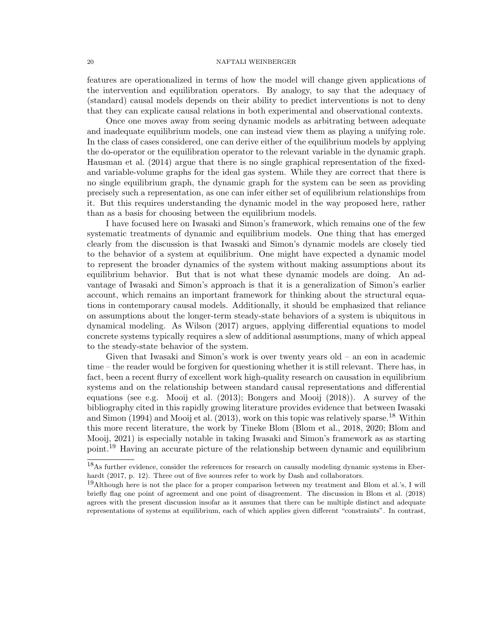features are operationalized in terms of how the model will change given applications of the intervention and equilibration operators. By analogy, to say that the adequacy of (standard) causal models depends on their ability to predict interventions is not to deny that they can explicate causal relations in both experimental and observational contexts.

Once one moves away from seeing dynamic models as arbitrating between adequate and inadequate equilibrium models, one can instead view them as playing a unifying role. In the class of cases considered, one can derive either of the equilibrium models by applying the do-operator or the equilibration operator to the relevant variable in the dynamic graph. Hausman et al. (2014) argue that there is no single graphical representation of the fixedand variable-volume graphs for the ideal gas system. While they are correct that there is no single equilibrium graph, the dynamic graph for the system can be seen as providing precisely such a representation, as one can infer either set of equilibrium relationships from it. But this requires understanding the dynamic model in the way proposed here, rather than as a basis for choosing between the equilibrium models.

I have focused here on Iwasaki and Simon's framework, which remains one of the few systematic treatments of dynamic and equilibrium models. One thing that has emerged clearly from the discussion is that Iwasaki and Simon's dynamic models are closely tied to the behavior of a system at equilibrium. One might have expected a dynamic model to represent the broader dynamics of the system without making assumptions about its equilibrium behavior. But that is not what these dynamic models are doing. An advantage of Iwasaki and Simon's approach is that it is a generalization of Simon's earlier account, which remains an important framework for thinking about the structural equations in contemporary causal models. Additionally, it should be emphasized that reliance on assumptions about the longer-term steady-state behaviors of a system is ubiquitous in dynamical modeling. As Wilson (2017) argues, applying differential equations to model concrete systems typically requires a slew of additional assumptions, many of which appeal to the steady-state behavior of the system.

Given that Iwasaki and Simon's work is over twenty years old – an eon in academic time – the reader would be forgiven for questioning whether it is still relevant. There has, in fact, been a recent flurry of excellent work high-quality research on causation in equilibrium systems and on the relationship between standard causal representations and differential equations (see e.g. Mooij et al. (2013); Bongers and Mooij (2018)). A survey of the bibliography cited in this rapidly growing literature provides evidence that between Iwasaki and Simon  $(1994)$  and Mooij et al.  $(2013)$ , work on this topic was relatively sparse.<sup>18</sup> Within this more recent literature, the work by Tineke Blom (Blom et al., 2018, 2020; Blom and Mooij, 2021) is especially notable in taking Iwasaki and Simon's framework as as starting point.<sup>19</sup> Having an accurate picture of the relationship between dynamic and equilibrium

<sup>18</sup>As further evidence, consider the references for research on causally modeling dynamic systems in Eberhardt (2017, p. 12). Three out of five sources refer to work by Dash and collaborators.

<sup>&</sup>lt;sup>19</sup>Although here is not the place for a proper comparison between my treatment and Blom et al.'s, I will briefly flag one point of agreement and one point of disagreement. The discussion in Blom et al. (2018) agrees with the present discussion insofar as it assumes that there can be multiple distinct and adequate representations of systems at equilibrium, each of which applies given different "constraints". In contrast,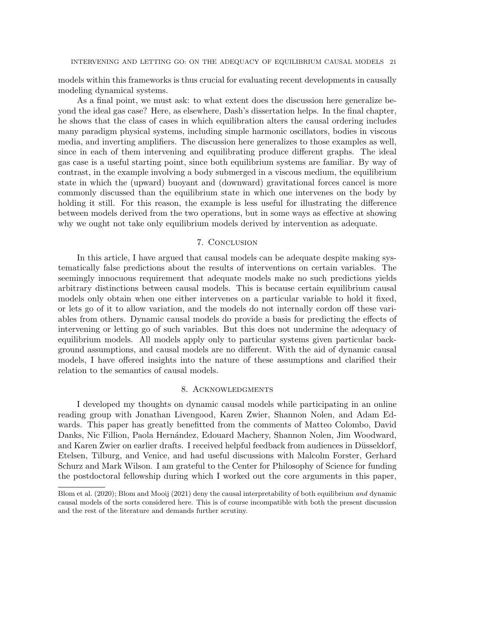models within this frameworks is thus crucial for evaluating recent developments in causally modeling dynamical systems.

As a final point, we must ask: to what extent does the discussion here generalize beyond the ideal gas case? Here, as elsewhere, Dash's dissertation helps. In the final chapter, he shows that the class of cases in which equilibration alters the causal ordering includes many paradigm physical systems, including simple harmonic oscillators, bodies in viscous media, and inverting amplifiers. The discussion here generalizes to those examples as well, since in each of them intervening and equilibrating produce different graphs. The ideal gas case is a useful starting point, since both equilibrium systems are familiar. By way of contrast, in the example involving a body submerged in a viscous medium, the equilibrium state in which the (upward) buoyant and (downward) gravitational forces cancel is more commonly discussed than the equilibrium state in which one intervenes on the body by holding it still. For this reason, the example is less useful for illustrating the difference between models derived from the two operations, but in some ways as effective at showing why we ought not take only equilibrium models derived by intervention as adequate.

# 7. Conclusion

In this article, I have argued that causal models can be adequate despite making systematically false predictions about the results of interventions on certain variables. The seemingly innocuous requirement that adequate models make no such predictions yields arbitrary distinctions between causal models. This is because certain equilibrium causal models only obtain when one either intervenes on a particular variable to hold it fixed, or lets go of it to allow variation, and the models do not internally cordon off these variables from others. Dynamic causal models do provide a basis for predicting the effects of intervening or letting go of such variables. But this does not undermine the adequacy of equilibrium models. All models apply only to particular systems given particular background assumptions, and causal models are no different. With the aid of dynamic causal models, I have offered insights into the nature of these assumptions and clarified their relation to the semantics of causal models.

# 8. Acknowledgments

I developed my thoughts on dynamic causal models while participating in an online reading group with Jonathan Livengood, Karen Zwier, Shannon Nolen, and Adam Edwards. This paper has greatly benefitted from the comments of Matteo Colombo, David Danks, Nic Fillion, Paola Hernández, Edouard Machery, Shannon Nolen, Jim Woodward, and Karen Zwier on earlier drafts. I received helpful feedback from audiences in Düsseldorf, Etelsen, Tilburg, and Venice, and had useful discussions with Malcolm Forster, Gerhard Schurz and Mark Wilson. I am grateful to the Center for Philosophy of Science for funding the postdoctoral fellowship during which I worked out the core arguments in this paper,

Blom et al. (2020); Blom and Mooij (2021) deny the causal interpretability of both equilibrium and dynamic causal models of the sorts considered here. This is of course incompatible with both the present discussion and the rest of the literature and demands further scrutiny.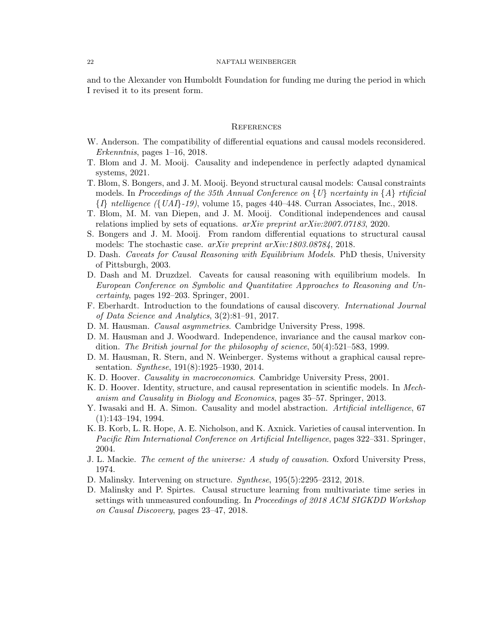and to the Alexander von Humboldt Foundation for funding me during the period in which I revised it to its present form.

## **REFERENCES**

- W. Anderson. The compatibility of differential equations and causal models reconsidered. Erkenntnis, pages  $1\n-16$ , 2018.
- T. Blom and J. M. Mooij. Causality and independence in perfectly adapted dynamical systems, 2021.
- T. Blom, S. Bongers, and J. M. Mooij. Beyond structural causal models: Causal constraints models. In Proceedings of the 35th Annual Conference on  $\{U\}$  ncertainty in  $\{A\}$  rtificial  $\{I\}$  ntelligence ( $\{UAI\}$ -19), volume 15, pages 440–448. Curran Associates, Inc., 2018.
- T. Blom, M. M. van Diepen, and J. M. Mooij. Conditional independences and causal relations implied by sets of equations. arXiv preprint arXiv:2007.07183, 2020.
- S. Bongers and J. M. Mooij. From random differential equations to structural causal models: The stochastic case. arXiv preprint arXiv:1803.08784, 2018.
- D. Dash. Caveats for Causal Reasoning with Equilibrium Models. PhD thesis, University of Pittsburgh, 2003.
- D. Dash and M. Druzdzel. Caveats for causal reasoning with equilibrium models. In European Conference on Symbolic and Quantitative Approaches to Reasoning and Uncertainty, pages 192–203. Springer, 2001.
- F. Eberhardt. Introduction to the foundations of causal discovery. International Journal of Data Science and Analytics, 3(2):81–91, 2017.
- D. M. Hausman. Causal asymmetries. Cambridge University Press, 1998.
- D. M. Hausman and J. Woodward. Independence, invariance and the causal markov condition. The British journal for the philosophy of science, 50(4):521–583, 1999.
- D. M. Hausman, R. Stern, and N. Weinberger. Systems without a graphical causal representation. *Synthese*, 191(8):1925–1930, 2014.
- K. D. Hoover. Causality in macroeconomics. Cambridge University Press, 2001.
- K. D. Hoover. Identity, structure, and causal representation in scientific models. In Mechanism and Causality in Biology and Economics, pages 35–57. Springer, 2013.
- Y. Iwasaki and H. A. Simon. Causality and model abstraction. *Artificial intelligence*, 67 (1):143–194, 1994.
- K. B. Korb, L. R. Hope, A. E. Nicholson, and K. Axnick. Varieties of causal intervention. In Pacific Rim International Conference on Artificial Intelligence, pages 322–331. Springer, 2004.
- J. L. Mackie. The cement of the universe: A study of causation. Oxford University Press, 1974.
- D. Malinsky. Intervening on structure. Synthese, 195(5):2295–2312, 2018.
- D. Malinsky and P. Spirtes. Causal structure learning from multivariate time series in settings with unmeasured confounding. In Proceedings of 2018 ACM SIGKDD Workshop on Causal Discovery, pages 23–47, 2018.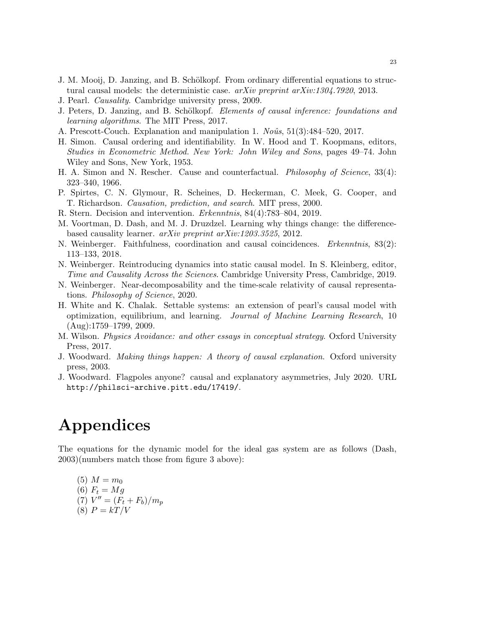- J. M. Mooij, D. Janzing, and B. Schölkopf. From ordinary differential equations to structural causal models: the deterministic case. arXiv preprint arXiv:1304.7920, 2013.
- J. Pearl. Causality. Cambridge university press, 2009.
- J. Peters, D. Janzing, and B. Schölkopf. *Elements of causal inference: foundations and* learning algorithms. The MIT Press, 2017.
- A. Prescott-Couch. Explanation and manipulation 1.  $No\hat{u}$ s, 51(3):484–520, 2017.
- H. Simon. Causal ordering and identifiability. In W. Hood and T. Koopmans, editors, Studies in Econometric Method. New York: John Wiley and Sons, pages 49–74. John Wiley and Sons, New York, 1953.
- H. A. Simon and N. Rescher. Cause and counterfactual. *Philosophy of Science*, 33(4): 323–340, 1966.
- P. Spirtes, C. N. Glymour, R. Scheines, D. Heckerman, C. Meek, G. Cooper, and T. Richardson. Causation, prediction, and search. MIT press, 2000.
- R. Stern. Decision and intervention. Erkenntnis, 84(4):783–804, 2019.
- M. Voortman, D. Dash, and M. J. Druzdzel. Learning why things change: the differencebased causality learner. arXiv preprint arXiv:1203.3525, 2012.
- N. Weinberger. Faithfulness, coordination and causal coincidences. Erkenntnis, 83(2): 113–133, 2018.
- N. Weinberger. Reintroducing dynamics into static causal model. In S. Kleinberg, editor, Time and Causality Across the Sciences. Cambridge University Press, Cambridge, 2019.
- N. Weinberger. Near-decomposability and the time-scale relativity of causal representations. Philosophy of Science, 2020.
- H. White and K. Chalak. Settable systems: an extension of pearl's causal model with optimization, equilibrium, and learning. Journal of Machine Learning Research, 10 (Aug):1759–1799, 2009.
- M. Wilson. Physics Avoidance: and other essays in conceptual strategy. Oxford University Press, 2017.
- J. Woodward. Making things happen: A theory of causal explanation. Oxford university press, 2003.
- J. Woodward. Flagpoles anyone? causal and explanatory asymmetries, July 2020. URL http://philsci-archive.pitt.edu/17419/.

# Appendices

The equations for the dynamic model for the ideal gas system are as follows (Dash, 2003)(numbers match those from figure 3 above):

(5) 
$$
M = m_0
$$
  
\n(6)  $F_t = Mg$   
\n(7)  $V'' = (F_t + F_b)/m_p$   
\n(8)  $P = kT/V$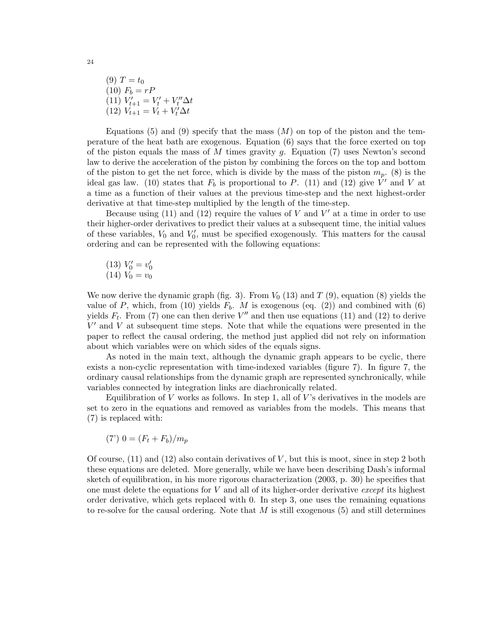(9)  $T = t_0$ (10)  $F_b = rP$ (11)  $V'_{t+1} = V'_t + V''_t \Delta t$ (12)  $V_{t+1} = V_t + V_t' \Delta t$ 

Equations (5) and (9) specify that the mass  $(M)$  on top of the piston and the temperature of the heat bath are exogenous. Equation (6) says that the force exerted on top of the piston equals the mass of M times gravity g. Equation  $(7)$  uses Newton's second law to derive the acceleration of the piston by combining the forces on the top and bottom of the piston to get the net force, which is divide by the mass of the piston  $m_p$ . (8) is the ideal gas law. (10) states that  $F_b$  is proportional to P. (11) and (12) give  $\dot{V}'$  and V at a time as a function of their values at the previous time-step and the next highest-order derivative at that time-step multiplied by the length of the time-step.

Because using  $(11)$  and  $(12)$  require the values of V and V' at a time in order to use their higher-order derivatives to predict their values at a subsequent time, the initial values of these variables,  $V_0$  and  $V'_0$ , must be specified exogenously. This matters for the causal ordering and can be represented with the following equations:

$$
\begin{array}{c}(13) \ V_0' = v_0'\\(14) \ V_0 = v_0\end{array}
$$

We now derive the dynamic graph (fig. 3). From  $V_0$  (13) and  $T$  (9), equation (8) yields the value of P, which, from (10) yields  $F_b$ . M is exogenous (eq. (2)) and combined with (6) yields  $F_t$ . From (7) one can then derive V'' and then use equations (11) and (12) to derive  $V'$  and  $V$  at subsequent time steps. Note that while the equations were presented in the paper to reflect the causal ordering, the method just applied did not rely on information about which variables were on which sides of the equals signs.

As noted in the main text, although the dynamic graph appears to be cyclic, there exists a non-cyclic representation with time-indexed variables (figure 7). In figure 7, the ordinary causal relationships from the dynamic graph are represented synchronically, while variables connected by integration links are diachronically related.

Equilibration of V works as follows. In step 1, all of V's derivatives in the models are set to zero in the equations and removed as variables from the models. This means that (7) is replaced with:

$$
(7')\ 0 = (F_t + F_b)/m_p
$$

Of course,  $(11)$  and  $(12)$  also contain derivatives of V, but this is moot, since in step 2 both these equations are deleted. More generally, while we have been describing Dash's informal sketch of equilibration, in his more rigorous characterization (2003, p. 30) he specifies that one must delete the equations for  $V$  and all of its higher-order derivative except its highest order derivative, which gets replaced with 0. In step 3, one uses the remaining equations to re-solve for the causal ordering. Note that  $M$  is still exogenous (5) and still determines

24